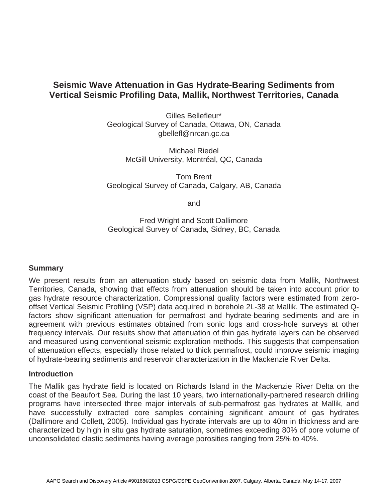# **Seismic Wave Attenuation in Gas Hydrate-Bearing Sediments from Vertical Seismic Profiling Data, Mallik, Northwest Territories, Canada**

Gilles Bellefleur\* Geological Survey of Canada, Ottawa, ON, Canada gbellefl@nrcan.gc.ca

> Michael Riedel McGill University, Montréal, QC, Canada

Tom Brent Geological Survey of Canada, Calgary, AB, Canada

and

Fred Wright and Scott Dallimore Geological Survey of Canada, Sidney, BC, Canada

# **Summary**

We present results from an attenuation study based on seismic data from Mallik, Northwest Territories, Canada, showing that effects from attenuation should be taken into account prior to gas hydrate resource characterization. Compressional quality factors were estimated from zerooffset Vertical Seismic Profiling (VSP) data acquired in borehole 2L-38 at Mallik. The estimated Qfactors show significant attenuation for permafrost and hydrate-bearing sediments and are in agreement with previous estimates obtained from sonic logs and cross-hole surveys at other frequency intervals. Our results show that attenuation of thin gas hydrate layers can be observed and measured using conventional seismic exploration methods. This suggests that compensation of attenuation effects, especially those related to thick permafrost, could improve seismic imaging of hydrate-bearing sediments and reservoir characterization in the Mackenzie River Delta.

### **Introduction**

The Mallik gas hydrate field is located on Richards Island in the Mackenzie River Delta on the coast of the Beaufort Sea. During the last 10 years, two internationally-partnered research drilling programs have intersected three major intervals of sub-permafrost gas hydrates at Mallik, and have successfully extracted core samples containing significant amount of gas hydrates (Dallimore and Collett, 2005). Individual gas hydrate intervals are up to 40m in thickness and are characterized by high in situ gas hydrate saturation, sometimes exceeding 80% of pore volume of unconsolidated clastic sediments having average porosities ranging from 25% to 40%.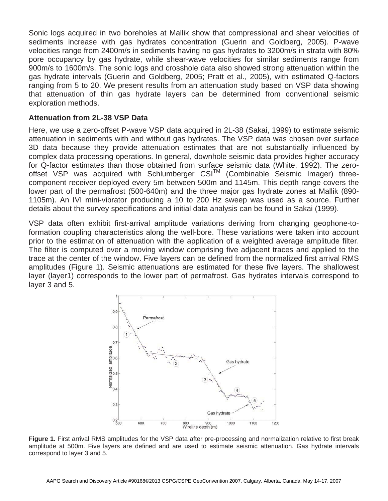Sonic logs acquired in two boreholes at Mallik show that compressional and shear velocities of sediments increase with gas hydrates concentration (Guerin and Goldberg, 2005). P-wave velocities range from 2400m/s in sediments having no gas hydrates to 3200m/s in strata with 80% pore occupancy by gas hydrate, while shear-wave velocities for similar sediments range from 900m/s to 1600m/s. The sonic logs and crosshole data also showed strong attenuation within the gas hydrate intervals (Guerin and Goldberg, 2005; Pratt et al., 2005), with estimated Q-factors ranging from 5 to 20. We present results from an attenuation study based on VSP data showing that attenuation of thin gas hydrate layers can be determined from conventional seismic exploration methods.

## **Attenuation from 2L-38 VSP Data**

Here, we use a zero-offset P-wave VSP data acquired in 2L-38 (Sakai, 1999) to estimate seismic attenuation in sediments with and without gas hydrates. The VSP data was chosen over surface 3D data because they provide attenuation estimates that are not substantially influenced by complex data processing operations. In general, downhole seismic data provides higher accuracy for Q-factor estimates than those obtained from surface seismic data (White, 1992). The zerooffset VSP was acquired with Schlumberger  $CSI<sup>TM</sup>$  (Combinable Seismic Imager) threecomponent receiver deployed every 5m between 500m and 1145m. This depth range covers the lower part of the permafrost (500-640m) and the three major gas hydrate zones at Mallik (890- 1105m). An IVI mini-vibrator producing a 10 to 200 Hz sweep was used as a source. Further details about the survey specifications and initial data analysis can be found in Sakai (1999).

VSP data often exhibit first-arrival amplitude variations deriving from changing geophone-toformation coupling characteristics along the well-bore. These variations were taken into account prior to the estimation of attenuation with the application of a weighted average amplitude filter. The filter is computed over a moving window comprising five adjacent traces and applied to the trace at the center of the window. Five layers can be defined from the normalized first arrival RMS amplitudes (Figure 1). Seismic attenuations are estimated for these five layers. The shallowest layer (layer1) corresponds to the lower part of permafrost. Gas hydrates intervals correspond to layer 3 and 5.



**Figure 1.** First arrival RMS amplitudes for the VSP data after pre-processing and normalization relative to first break amplitude at 500m. Five layers are defined and are used to estimate seismic attenuation. Gas hydrate intervals correspond to layer 3 and 5.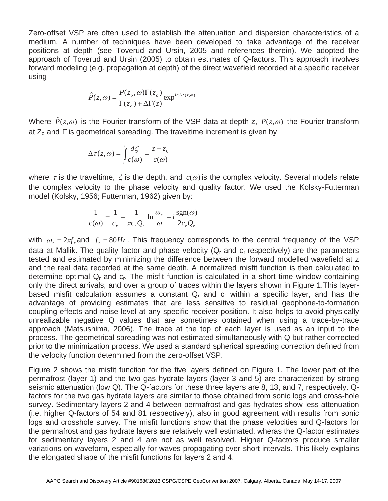Zero-offset VSP are often used to establish the attenuation and dispersion characteristics of a medium. A number of techniques have been developed to take advantage of the receiver positions at depth (see Toverud and Ursin, 2005 and references therein). We adopted the approach of Toverud and Ursin (2005) to obtain estimates of Q-factors. This approach involves forward modeling (e.g. propagation at depth) of the direct wavefield recorded at a specific receiver using

$$
\hat{P}(z,\omega) = \frac{P(z_o,\omega)\Gamma(z_o)}{\Gamma(z_o) + \Delta\Gamma(z)} \exp^{i\omega\Delta\tau(z,\omega)}
$$

Where  $\hat{P}(z,\omega)$  is the Fourier transform of the VSP data at depth z,  $P(z,\omega)$  the Fourier transform at Z, and Fig. coomptries proading. The traveltime increment is given by at  $Z_0$  and  $\Gamma$  is geometrical spreading. The traveltime increment is given by

$$
\Delta \tau(z, \omega) = \int_{z_0}^{z} \frac{d\zeta}{c(\omega)} = \frac{z - z_0}{c(\omega)}
$$

where  $\tau$  is the traveltime,  $\zeta$  is the depth, and  $c(\omega)$  is the complex velocity. Several models relate the complex velocity to the phase velocity and quality factor. We used the Kelaky Eutterman the complex velocity to the phase velocity and quality factor. We used the Kolsky-Futterman model (Kolsky, 1956; Futterman, 1962) given by:

$$
\frac{1}{c(\omega)} = \frac{1}{c_r} + \frac{1}{\pi c_r Q_r} \ln \left| \frac{\omega_r}{\omega} \right| + i \frac{\text{sgn}(\omega)}{2c_r Q_r}
$$

with  $\omega_r = 2\pi f_r$  and  $f_r = 80Hz$ . This frequency corresponds to the central frequency of the VSP<br>data at Mallik. The quality factor and phase velocity (O and a respectively) are the parameters data at Mallik. The quality factor and phase velocity  $(Q<sub>r</sub>$  and  $c<sub>r</sub>$  respectively) are the parameters tested and estimated by minimizing the difference between the forward modelled wavefield at z and the real data recorded at the same depth. A normalized misfit function is then calculated to determine optimal  $Q<sub>r</sub>$  and  $c<sub>r</sub>$ . The misfit function is calculated in a short time window containing only the direct arrivals, and over a group of traces within the layers shown in Figure 1.This layerbased misfit calculation assumes a constant  $Q<sub>r</sub>$  and  $c<sub>r</sub>$  within a specific layer, and has the advantage of providing estimates that are less sensitive to residual geophone-to-formation coupling effects and noise level at any specific receiver position. It also helps to avoid physically unrealizable negative Q values that are sometimes obtained when using a trace-by-trace approach (Matsushima, 2006). The trace at the top of each layer is used as an input to the process. The geometrical spreading was not estimated simultaneously with Q but rather corrected prior to the minimization process. We used a standard spherical spreading correction defined from the velocity function determined from the zero-offset VSP.

Figure 2 shows the misfit function for the five layers defined on Figure 1. The lower part of the permafrost (layer 1) and the two gas hydrate layers (layer 3 and 5) are characterized by strong seismic attenuation (low Q). The Q-factors for these three layers are 8, 13, and 7, respectively. Qfactors for the two gas hydrate layers are similar to those obtained from sonic logs and cross-hole survey. Sedimentary layers 2 and 4 between permafrost and gas hydrates show less attenuation (i.e. higher Q-factors of 54 and 81 respectively), also in good agreement with results from sonic logs and crosshole survey. The misfit functions show that the phase velocities and Q-factors for the permafrost and gas hydrate layers are relatively well estimated, wheras the Q-factor estimates for sedimentary layers 2 and 4 are not as well resolved. Higher Q-factors produce smaller variations on waveform, especially for waves propagating over short intervals. This likely explains the elongated shape of the misfit functions for layers 2 and 4.